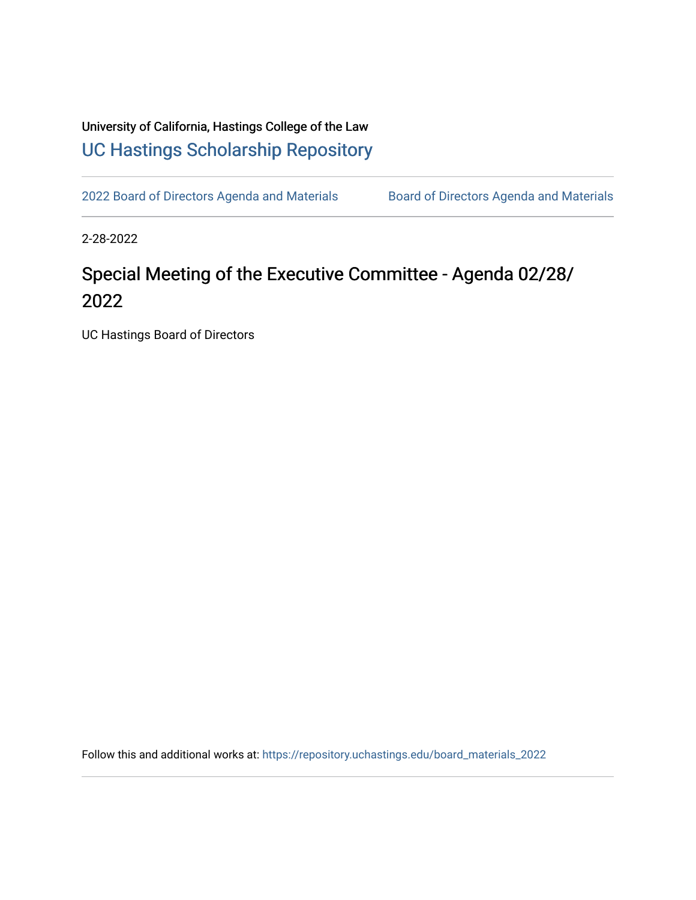## University of California, Hastings College of the Law [UC Hastings Scholarship Repository](https://repository.uchastings.edu/)

[2022 Board of Directors Agenda and Materials](https://repository.uchastings.edu/board_materials_2022) Board of Directors Agenda and Materials

2-28-2022

## Special Meeting of the Executive Committee - Agenda 02/28/ 2022

UC Hastings Board of Directors

Follow this and additional works at: [https://repository.uchastings.edu/board\\_materials\\_2022](https://repository.uchastings.edu/board_materials_2022?utm_source=repository.uchastings.edu%2Fboard_materials_2022%2F21&utm_medium=PDF&utm_campaign=PDFCoverPages)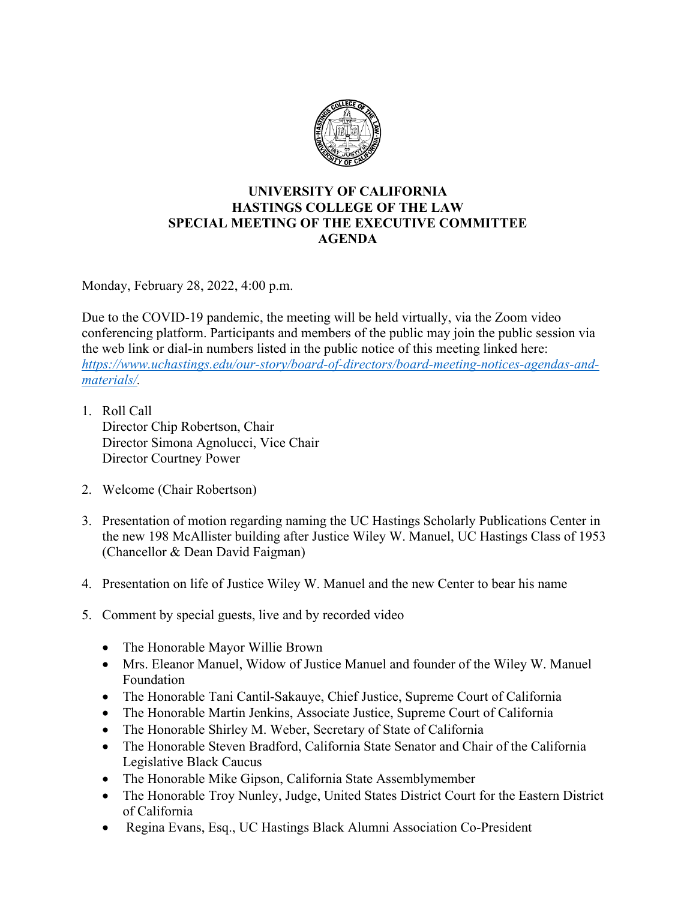

## **UNIVERSITY OF CALIFORNIA HASTINGS COLLEGE OF THE LAW SPECIAL MEETING OF THE EXECUTIVE COMMITTEE AGENDA**

Monday, February 28, 2022, 4:00 p.m.

Due to the COVID-19 pandemic, the meeting will be held virtually, via the Zoom video conferencing platform. Participants and members of the public may join the public session via the web link or dial-in numbers listed in the public notice of this meeting linked here: *[https://www.uchastings.edu/our-story/board-of-directors/board-meeting-notices-agendas-and](https://www.uchastings.edu/our-story/board-of-directors/board-meeting-notices-agendas-and-materials/)[materials/.](https://www.uchastings.edu/our-story/board-of-directors/board-meeting-notices-agendas-and-materials/)* 

- 1. Roll Call Director Chip Robertson, Chair Director Simona Agnolucci, Vice Chair Director Courtney Power
- 2. Welcome (Chair Robertson)
- 3. Presentation of motion regarding naming the UC Hastings Scholarly Publications Center in the new 198 McAllister building after Justice Wiley W. Manuel, UC Hastings Class of 1953 (Chancellor & Dean David Faigman)
- 4. Presentation on life of Justice Wiley W. Manuel and the new Center to bear his name
- 5. Comment by special guests, live and by recorded video
	- The Honorable Mayor Willie Brown
	- Mrs. Eleanor Manuel, Widow of Justice Manuel and founder of the Wiley W. Manuel Foundation
	- The Honorable Tani Cantil-Sakauye, Chief Justice, Supreme Court of California
	- The Honorable Martin Jenkins, Associate Justice, Supreme Court of California
	- The Honorable Shirley M. Weber, Secretary of State of California
	- The Honorable Steven Bradford, California State Senator and Chair of the California Legislative Black Caucus
	- The Honorable Mike Gipson, California State Assemblymember
	- The Honorable Troy Nunley, Judge, United States District Court for the Eastern District of California
	- Regina Evans, Esq., UC Hastings Black Alumni Association Co-President